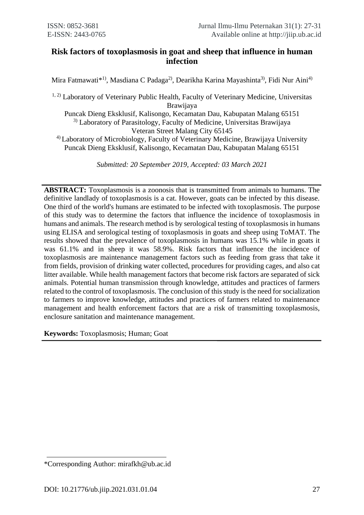# **Risk factors of toxoplasmosis in goat and sheep that influence in human infection**

Mira Fatmawati $^{*1)}$ , Masdiana C Padaga<sup>2)</sup>, Dearikha Karina Mayashinta<sup>3)</sup>, Fidi Nur Aini<sup>4)</sup>

<sup>1, 2)</sup> Laboratory of Veterinary Public Health, Faculty of Veterinary Medicine, Universitas Brawijaya Puncak Dieng Eksklusif, Kalisongo, Kecamatan Dau, Kabupatan Malang 65151 <sup>3)</sup> Laboratory of Parasitology, Faculty of Medicine, Universitas Brawijaya Veteran Street Malang City 65145 4) Laboratory of Microbiology, Faculty of Veterinary Medicine, Brawijaya University Puncak Dieng Eksklusif, Kalisongo, Kecamatan Dau, Kabupatan Malang 65151

*Submitted: 20 September 2019, Accepted: 03 March 2021*

**ABSTRACT:** Toxoplasmosis is a zoonosis that is transmitted from animals to humans. The definitive landlady of toxoplasmosis is a cat. However, goats can be infected by this disease. One third of the world's humans are estimated to be infected with toxoplasmosis. The purpose of this study was to determine the factors that influence the incidence of toxoplasmosis in humans and animals. The research method is by serological testing of toxoplasmosis in humans using ELISA and serological testing of toxoplasmosis in goats and sheep using ToMAT. The results showed that the prevalence of toxoplasmosis in humans was 15.1% while in goats it was 61.1% and in sheep it was 58.9%. Risk factors that influence the incidence of toxoplasmosis are maintenance management factors such as feeding from grass that take it from fields, provision of drinking water collected, procedures for providing cages, and also cat litter available. While health management factors that become risk factors are separated of sick animals. Potential human transmission through knowledge, attitudes and practices of farmers related to the control of toxoplasmosis. The conclusion of this study is the need for socialization to farmers to improve knowledge, attitudes and practices of farmers related to maintenance management and health enforcement factors that are a risk of transmitting toxoplasmosis, enclosure sanitation and maintenance management.

**Keywords:** Toxoplasmosis; Human; Goat

<sup>\*</sup>Corresponding Author: mirafkh@ub.ac.id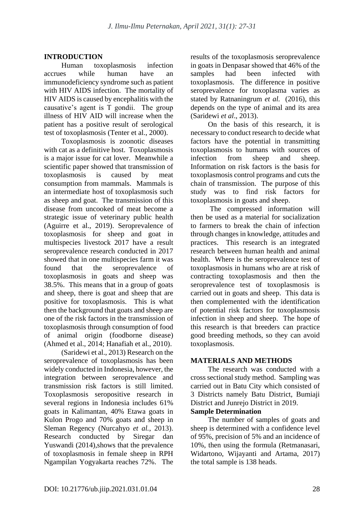# **INTRODUCTION**

Human toxoplasmosis infection accrues while human have an immunodeficiency syndrome such as patient with HIV AIDS infection. The mortality of HIV AIDS is caused by encephalitis with the causative's agent is T gondii. The group illness of HIV AID will increase when the patient has a positive result of serological test of toxoplasmosis (Tenter et al., 2000).

Toxoplasmosis is zoonotic diseases with cat as a definitive host. Toxoplasmosis is a major issue for cat lover. Meanwhile a scientific paper showed that transmission of toxoplasmosis is caused by meat consumption from mammals. Mammals is an intermediate host of toxoplasmosis such as sheep and goat. The transmission of this disease from uncooked of meat become a strategic issue of veterinary public health (Aguirre et al., 2019). Seroprevalence of toxoplasmosis for sheep and goat in multispecies livestock 2017 have a result seroprevalence research conducted in 2017 showed that in one multispecies farm it was found that the seroprevalence of toxoplasmosis in goats and sheep was 38.5%. This means that in a group of goats and sheep, there is goat and sheep that are positive for toxoplasmosis. This is what then the background that goats and sheep are one of the risk factors in the transmission of toxoplasmosis through consumption of food of animal origin (foodborne disease) (Ahmed et al., 2014; Hanafiah et al., 2010).

(Saridewi et al., 2013) Research on the seroprevalence of toxoplasmosis has been widely conducted in Indonesia, however, the integration between seroprevalence and transmission risk factors is still limited. Toxoplasmosis seropositive research in several regions in Indonesia includes 61% goats in Kalimantan, 40% Etawa goats in Kulon Progo and 70% goats and sheep in Sleman Regency (Nurcahyo *et al.*, 2013). Research conducted by Siregar dan Yuswandi (2014),shows that the prevalence of toxoplasmosis in female sheep in RPH Ngampilan Yogyakarta reaches 72%. The results of the toxoplasmosis seroprevalence in goats in Denpasar showed that 46% of the samples had been infected with toxoplasmosis. The difference in positive seroprevalence for toxoplasma varies as stated by Ratnaningrum *et al.* (2016), this depends on the type of animal and its area (Saridewi *et al*., 2013).

On the basis of this research, it is necessary to conduct research to decide what factors have the potential in transmitting toxoplasmosis to humans with sources of infection from sheep and sheep. Information on risk factors is the basis for toxoplasmosis control programs and cuts the chain of transmission. The purpose of this study was to find risk factors for toxoplasmosis in goats and sheep.

The compressed information will then be used as a material for socialization to farmers to break the chain of infection through changes in knowledge, attitudes and practices. This research is an integrated research between human health and animal health. Where is the seroprevalence test of toxoplasmosis in humans who are at risk of contracting toxoplasmosis and then the seroprevalence test of toxoplasmosis is carried out in goats and sheep. This data is then complemented with the identification of potential risk factors for toxoplasmosis infection in sheep and sheep. The hope of this research is that breeders can practice good breeding methods, so they can avoid toxoplasmosis.

# **MATERIALS AND METHODS**

The research was conducted with a cross sectional study method. Sampling was carried out in Batu City which consisted of 3 Districts namely Batu District, Bumiaji District and Junrejo District in 2019.

# **Sample Determination**

The number of samples of goats and sheep is determined with a confidence level of 95%, precision of 5% and an incidence of 10%, then using the formula (Retmanasari, Widartono, Wijayanti and Artama, 2017) the total sample is 138 heads.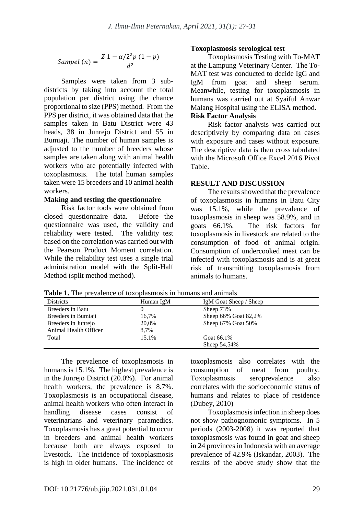$$
Sample(n) = \frac{Z 1 - \alpha/2^2 p (1 - p)}{d^2}
$$

Samples were taken from 3 subdistricts by taking into account the total population per district using the chance proportional to size (PPS) method. From the PPS per district, it was obtained data that the samples taken in Batu District were 43 heads, 38 in Junrejo District and 55 in Bumiaji. The number of human samples is adjusted to the number of breeders whose samples are taken along with animal health workers who are potentially infected with toxoplasmosis. The total human samples taken were 15 breeders and 10 animal health workers.

#### **Making and testing the questionnaire**

Risk factor tools were obtained from closed questionnaire data. Before the questionnaire was used, the validity and reliability were tested. The validity test based on the correlation was carried out with the Pearson Product Moment correlation. While the reliability test uses a single trial administration model with the Split-Half Method (split method method).

#### **Toxoplasmosis serological test**

Toxoplasmosis Testing with To-MAT at the Lampung Veterinary Center. The To-MAT test was conducted to decide IgG and IgM from goat and sheep serum. Meanwhile, testing for toxoplasmosis in humans was carried out at Syaiful Anwar Malang Hospital using the ELISA method. **Risk Factor Analysis**

Risk factor analysis was carried out descriptively by comparing data on cases with exposure and cases without exposure. The descriptive data is then cross tabulated with the Microsoft Office Excel 2016 Pivot Table.

# **RESULT AND DISCUSSION**

The results showed that the prevalence of toxoplasmosis in humans in Batu City was 15.1%, while the prevalence of toxoplasmosis in sheep was 58.9%, and in goats 66.1%. The risk factors for toxoplasmosis in livestock are related to the consumption of food of animal origin. Consumption of undercooked meat can be infected with toxoplasmosis and is at great risk of transmitting toxoplasmosis from animals to humans.

| <b>Table 1.</b> The prevalence of toxopiasinosis in humans and annihas |           |                        |
|------------------------------------------------------------------------|-----------|------------------------|
| <b>Districts</b>                                                       | Human IgM | IgM Goat Sheep / Sheep |
| Breeders in Batu                                                       |           | Sheep 73%              |
| Breeders in Bumiaji                                                    | 16,7%     | Sheep 66% Goat 82,2%   |
| Breeders in Junrejo                                                    | 20,0%     | Sheep 67% Goat 50%     |
| Animal Health Officer                                                  | 8,7%      |                        |
| Total                                                                  | 15.1%     | Goat 66.1%             |
|                                                                        |           | Sheep 54,54%           |

**Table 1.** The prevalence of toxoplasmosis in humans and animals

The prevalence of toxoplasmosis in humans is 15.1%. The highest prevalence is in the Junrejo District (20.0%). For animal health workers, the prevalence is 8.7%. Toxoplasmosis is an occupational disease, animal health workers who often interact in handling disease cases consist of veterinarians and veterinary paramedics. Toxoplasmosis has a great potential to occur in breeders and animal health workers because both are always exposed to livestock. The incidence of toxoplasmosis is high in older humans. The incidence of toxoplasmosis also correlates with the consumption of meat from poultry. Toxoplasmosis seroprevalence also correlates with the socioeconomic status of humans and relates to place of residence (Dubey, 2010)

Toxoplasmosis infection in sheep does not show pathognomonic symptoms. In 5 periods (2003-2008) it was reported that toxoplasmosis was found in goat and sheep in 24 provinces in Indonesia with an average prevalence of 42.9% (Iskandar, 2003). The results of the above study show that the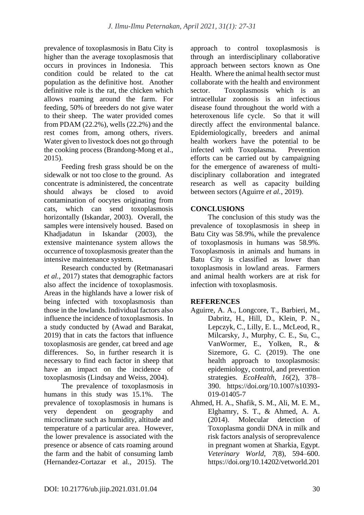prevalence of toxoplasmosis in Batu City is higher than the average toxoplasmosis that occurs in provinces in Indonesia. This condition could be related to the cat population as the definitive host. Another definitive role is the rat, the chicken which allows roaming around the farm. For feeding, 50% of breeders do not give water to their sheep. The water provided comes from PDAM  $(22.2\%)$ , wells  $(22.2\%)$  and the rest comes from, among others, rivers. Water given to livestock does not go through the cooking process (Brandong-Mong et al., 2015).

Feeding fresh grass should be on the sidewalk or not too close to the ground. As concentrate is administered, the concentrate should always be closed to avoid contamination of oocytes originating from cats, which can send toxoplasmosis horizontally (Iskandar, 2003). Overall, the samples were intensively housed. Based on Khadjadatun in Iskandar (2003), the extensive maintenance system allows the occurrence of toxoplasmosis greater than the intensive maintenance system.

Research conducted by (Retmanasari *et al.*, 2017) states that demographic factors also affect the incidence of toxoplasmosis. Areas in the highlands have a lower risk of being infected with toxoplasmosis than those in the lowlands. Individual factors also influence the incidence of toxoplasmosis. In a study conducted by (Awad and Barakat, 2019) that in cats the factors that influence toxoplasmosis are gender, cat breed and age differences. So, in further research it is necessary to find each factor in sheep that have an impact on the incidence of toxoplasmosis (Lindsay and Weiss, 2004).

The prevalence of toxoplasmosis in humans in this study was 15.1%. The prevalence of toxoplasmosis in humans is very dependent on geography and microclimate such as humidity, altitude and temperature of a particular area. However, the lower prevalence is associated with the presence or absence of cats roaming around the farm and the habit of consuming lamb (Hernandez-Cortazar et al., 2015). The

approach to control toxoplasmosis is through an interdisciplinary collaborative approach between sectors known as One Health. Where the animal health sector must collaborate with the health and environment sector. Toxoplasmosis which is an intracellular zoonosis is an infectious disease found throughout the world with a heteroxenous life cycle. So that it will directly affect the environmental balance. Epidemiologically, breeders and animal health workers have the potential to be infected with Toxoplasma. Prevention efforts can be carried out by campaigning for the emergence of awareness of multidisciplinary collaboration and integrated research as well as capacity building between sectors (Aguirre *et al.*, 2019).

# **CONCLUSIONS**

The conclusion of this study was the prevalence of toxoplasmosis in sheep in Batu City was 58.9%, while the prevalence of toxoplasmosis in humans was 58.9%. Toxoplasmosis in animals and humans in Batu City is classified as lower than toxoplasmosis in lowland areas. Farmers and animal health workers are at risk for infection with toxoplasmosis.

# **REFERENCES**

- Aguirre, A. A., Longcore, T., Barbieri, M., Dabritz, H., Hill, D., Klein, P. N., Lepczyk, C., Lilly, E. L., McLeod, R., Milcarsky, J., Murphy, C. E., Su, C., VanWormer, E., Yolken, R., & Sizemore, G. C. (2019). The one health approach to toxoplasmosis: epidemiology, control, and prevention strategies. *EcoHealth*, *16*(2), 378– 390. https://doi.org/10.1007/s10393- 019-01405-7
- Ahmed, H. A., Shafik, S. M., Ali, M. E. M., Elghamry, S. T., & Ahmed, A. A. (2014). Molecular detection of Toxoplasma gondii DNA in milk and risk factors analysis of seroprevalence in pregnant women at Sharkia, Egypt. *Veterinary World*, *7*(8), 594–600. https://doi.org/10.14202/vetworld.201